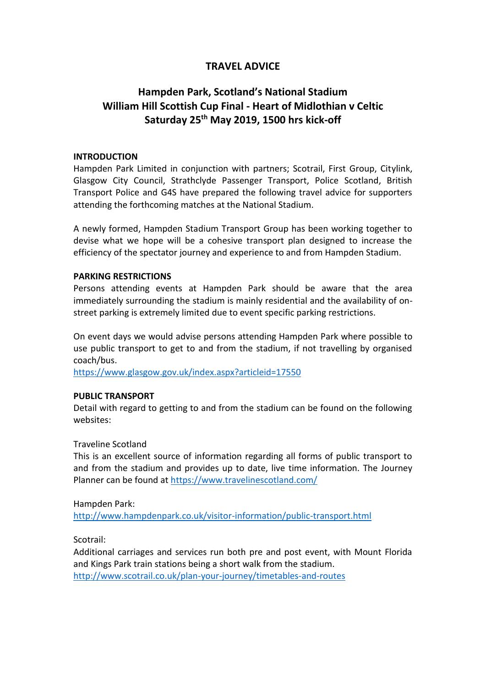## **TRAVEL ADVICE**

# **Hampden Park, Scotland's National Stadium William Hill Scottish Cup Final - Heart of Midlothian v Celtic Saturday 25th May 2019, 1500 hrs kick-off**

### **INTRODUCTION**

Hampden Park Limited in conjunction with partners; Scotrail, First Group, Citylink, Glasgow City Council, Strathclyde Passenger Transport, Police Scotland, British Transport Police and G4S have prepared the following travel advice for supporters attending the forthcoming matches at the National Stadium.

A newly formed, Hampden Stadium Transport Group has been working together to devise what we hope will be a cohesive transport plan designed to increase the efficiency of the spectator journey and experience to and from Hampden Stadium.

### **PARKING RESTRICTIONS**

Persons attending events at Hampden Park should be aware that the area immediately surrounding the stadium is mainly residential and the availability of onstreet parking is extremely limited due to event specific parking restrictions.

On event days we would advise persons attending Hampden Park where possible to use public transport to get to and from the stadium, if not travelling by organised coach/bus.

<https://www.glasgow.gov.uk/index.aspx?articleid=17550>

### **PUBLIC TRANSPORT**

Detail with regard to getting to and from the stadium can be found on the following websites:

### Traveline Scotland

This is an excellent source of information regarding all forms of public transport to and from the stadium and provides up to date, live time information. The Journey Planner can be found at<https://www.travelinescotland.com/>

Hampden Park:

<http://www.hampdenpark.co.uk/visitor-information/public-transport.html>

Scotrail:

Additional carriages and services run both pre and post event, with Mount Florida and Kings Park train stations being a short walk from the stadium. <http://www.scotrail.co.uk/plan-your-journey/timetables-and-routes>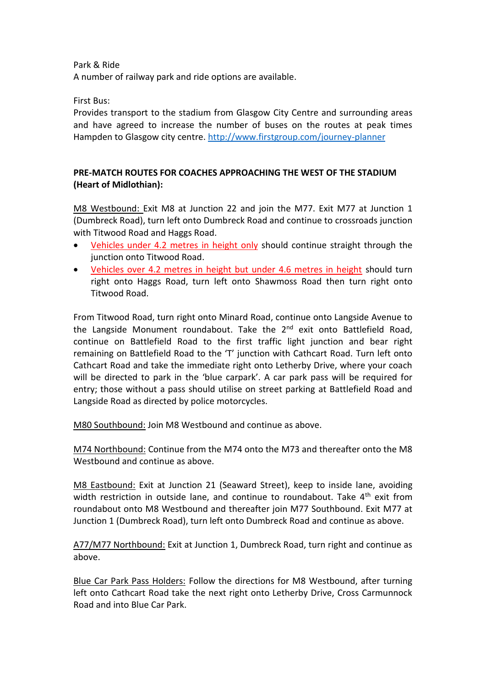Park & Ride

A number of railway park and ride options are available.

First Bus:

Provides transport to the stadium from Glasgow City Centre and surrounding areas and have agreed to increase the number of buses on the routes at peak times Hampden to Glasgow city centre.<http://www.firstgroup.com/journey-planner>

### **PRE-MATCH ROUTES FOR COACHES APPROACHING THE WEST OF THE STADIUM (Heart of Midlothian):**

M8 Westbound: Exit M8 at Junction 22 and join the M77. Exit M77 at Junction 1 (Dumbreck Road), turn left onto Dumbreck Road and continue to crossroads junction with Titwood Road and Haggs Road.

- Vehicles under 4.2 metres in height only should continue straight through the junction onto Titwood Road.
- Vehicles over 4.2 metres in height but under 4.6 metres in height should turn right onto Haggs Road, turn left onto Shawmoss Road then turn right onto Titwood Road.

From Titwood Road, turn right onto Minard Road, continue onto Langside Avenue to the Langside Monument roundabout. Take the 2<sup>nd</sup> exit onto Battlefield Road, continue on Battlefield Road to the first traffic light junction and bear right remaining on Battlefield Road to the 'T' junction with Cathcart Road. Turn left onto Cathcart Road and take the immediate right onto Letherby Drive, where your coach will be directed to park in the 'blue carpark'. A car park pass will be required for entry; those without a pass should utilise on street parking at Battlefield Road and Langside Road as directed by police motorcycles.

M80 Southbound: Join M8 Westbound and continue as above.

M74 Northbound: Continue from the M74 onto the M73 and thereafter onto the M8 Westbound and continue as above.

M8 Eastbound: Exit at Junction 21 (Seaward Street), keep to inside lane, avoiding width restriction in outside lane, and continue to roundabout. Take 4<sup>th</sup> exit from roundabout onto M8 Westbound and thereafter join M77 Southbound. Exit M77 at Junction 1 (Dumbreck Road), turn left onto Dumbreck Road and continue as above.

A77/M77 Northbound: Exit at Junction 1, Dumbreck Road, turn right and continue as above.

Blue Car Park Pass Holders: Follow the directions for M8 Westbound, after turning left onto Cathcart Road take the next right onto Letherby Drive, Cross Carmunnock Road and into Blue Car Park.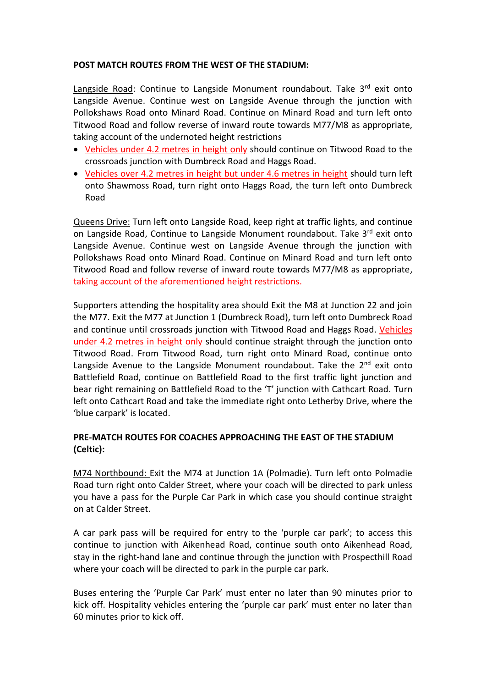### **POST MATCH ROUTES FROM THE WEST OF THE STADIUM:**

Langside Road: Continue to Langside Monument roundabout. Take 3rd exit onto Langside Avenue. Continue west on Langside Avenue through the junction with Pollokshaws Road onto Minard Road. Continue on Minard Road and turn left onto Titwood Road and follow reverse of inward route towards M77/M8 as appropriate, taking account of the undernoted height restrictions

- Vehicles under 4.2 metres in height only should continue on Titwood Road to the crossroads junction with Dumbreck Road and Haggs Road.
- Vehicles over 4.2 metres in height but under 4.6 metres in height should turn left onto Shawmoss Road, turn right onto Haggs Road, the turn left onto Dumbreck Road

Queens Drive: Turn left onto Langside Road, keep right at traffic lights, and continue on Langside Road, Continue to Langside Monument roundabout. Take 3rd exit onto Langside Avenue. Continue west on Langside Avenue through the junction with Pollokshaws Road onto Minard Road. Continue on Minard Road and turn left onto Titwood Road and follow reverse of inward route towards M77/M8 as appropriate, taking account of the aforementioned height restrictions.

Supporters attending the hospitality area should Exit the M8 at Junction 22 and join the M77. Exit the M77 at Junction 1 (Dumbreck Road), turn left onto Dumbreck Road and continue until crossroads junction with Titwood Road and Haggs Road. Vehicles under 4.2 metres in height only should continue straight through the junction onto Titwood Road. From Titwood Road, turn right onto Minard Road, continue onto Langside Avenue to the Langside Monument roundabout. Take the  $2<sup>nd</sup>$  exit onto Battlefield Road, continue on Battlefield Road to the first traffic light junction and bear right remaining on Battlefield Road to the 'T' junction with Cathcart Road. Turn left onto Cathcart Road and take the immediate right onto Letherby Drive, where the 'blue carpark' is located.

### **PRE-MATCH ROUTES FOR COACHES APPROACHING THE EAST OF THE STADIUM (Celtic):**

M74 Northbound: Exit the M74 at Junction 1A (Polmadie). Turn left onto Polmadie Road turn right onto Calder Street, where your coach will be directed to park unless you have a pass for the Purple Car Park in which case you should continue straight on at Calder Street.

A car park pass will be required for entry to the 'purple car park'; to access this continue to junction with Aikenhead Road, continue south onto Aikenhead Road, stay in the right-hand lane and continue through the junction with Prospecthill Road where your coach will be directed to park in the purple car park.

Buses entering the 'Purple Car Park' must enter no later than 90 minutes prior to kick off. Hospitality vehicles entering the 'purple car park' must enter no later than 60 minutes prior to kick off.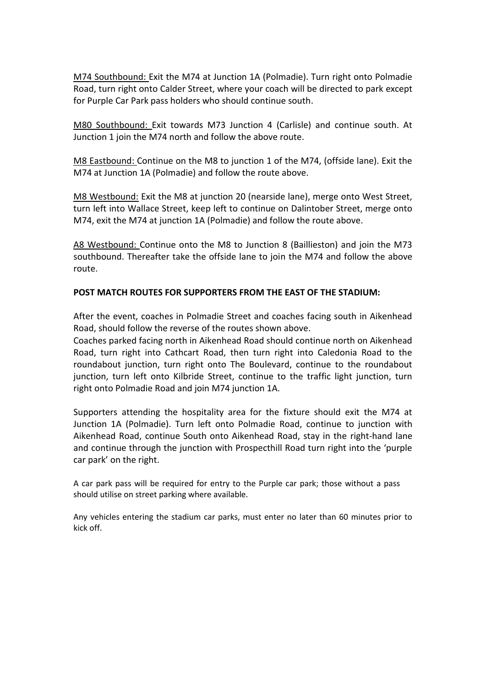M74 Southbound: Exit the M74 at Junction 1A (Polmadie). Turn right onto Polmadie Road, turn right onto Calder Street, where your coach will be directed to park except for Purple Car Park pass holders who should continue south.

M80 Southbound: Exit towards M73 Junction 4 (Carlisle) and continue south. At Junction 1 join the M74 north and follow the above route.

M8 Eastbound: Continue on the M8 to junction 1 of the M74, (offside lane). Exit the M74 at Junction 1A (Polmadie) and follow the route above.

M8 Westbound: Exit the M8 at junction 20 (nearside lane), merge onto West Street, turn left into Wallace Street, keep left to continue on Dalintober Street, merge onto M74, exit the M74 at junction 1A (Polmadie) and follow the route above.

A8 Westbound: Continue onto the M8 to Junction 8 (Baillieston) and join the M73 southbound. Thereafter take the offside lane to join the M74 and follow the above route.

### **POST MATCH ROUTES FOR SUPPORTERS FROM THE EAST OF THE STADIUM:**

After the event, coaches in Polmadie Street and coaches facing south in Aikenhead Road, should follow the reverse of the routes shown above.

Coaches parked facing north in Aikenhead Road should continue north on Aikenhead Road, turn right into Cathcart Road, then turn right into Caledonia Road to the roundabout junction, turn right onto The Boulevard, continue to the roundabout junction, turn left onto Kilbride Street, continue to the traffic light junction, turn right onto Polmadie Road and join M74 junction 1A.

Supporters attending the hospitality area for the fixture should exit the M74 at Junction 1A (Polmadie). Turn left onto Polmadie Road, continue to junction with Aikenhead Road, continue South onto Aikenhead Road, stay in the right-hand lane and continue through the junction with Prospecthill Road turn right into the 'purple car park' on the right.

A car park pass will be required for entry to the Purple car park; those without a pass should utilise on street parking where available.

Any vehicles entering the stadium car parks, must enter no later than 60 minutes prior to kick off.